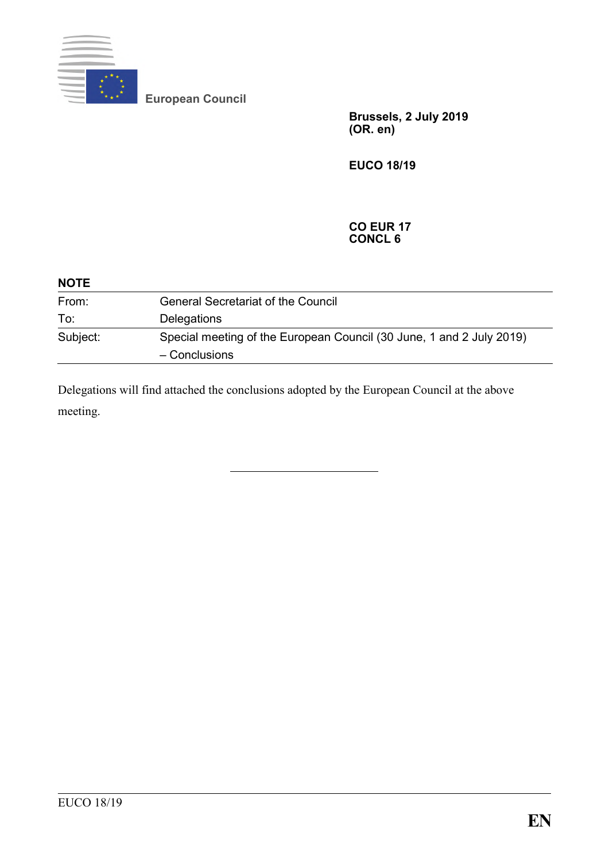

**European Council**

**Brussels, 2 July 2019 (OR. en)**

**EUCO 18/19**

## **CO EUR 17 CONCL 6**

| <b>NOTE</b> |                                                                                       |
|-------------|---------------------------------------------------------------------------------------|
| From:       | <b>General Secretariat of the Council</b>                                             |
| To:         | Delegations                                                                           |
| Subject:    | Special meeting of the European Council (30 June, 1 and 2 July 2019)<br>- Conclusions |

Delegations will find attached the conclusions adopted by the European Council at the above meeting.